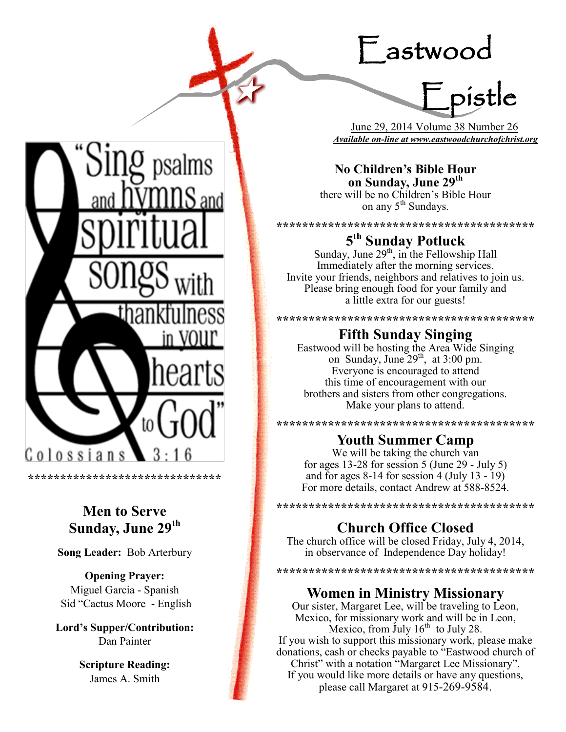# Eastwood

Epistle

 June 29, 2014 Volume 38 Number 26 *Available on-line at www.eastwoodchurchofchrist.org*

**No Children's Bible Hour on Sunday, June 29th** there will be no Children's Bible Hour on any 5<sup>th</sup> Sundays.

**\*\*\*\*\*\*\*\*\*\*\*\*\*\*\*\*\*\*\*\*\*\*\*\*\*\*\*\*\*\*\*\*\*\*\*\*\*\*\*\***

# **5 th Sunday Potluck**

Sunday, June  $29<sup>th</sup>$ , in the Fellowship Hall Immediately after the morning services. Invite your friends, neighbors and relatives to join us. Please bring enough food for your family and a little extra for our guests!

### **\*\*\*\*\*\*\*\*\*\*\*\*\*\*\*\*\*\*\*\*\*\*\*\*\*\*\*\*\*\*\*\*\*\*\*\*\*\*\*\* Fifth Sunday Singing**

Eastwood will be hosting the Area Wide Singing on Sunday, June  $29<sup>th</sup>$ , at  $3:00$  pm. Everyone is encouraged to attend this time of encouragement with our brothers and sisters from other congregations. Make your plans to attend.

**\*\*\*\*\*\*\*\*\*\*\*\*\*\*\*\*\*\*\*\*\*\*\*\*\*\*\*\*\*\*\*\*\*\*\*\*\*\*\*\***

## **Youth Summer Camp**

We will be taking the church van for ages 13-28 for session 5 (June 29 - July 5) and for ages 8-14 for session 4 (July 13 - 19) For more details, contact Andrew at 588-8524.

**\*\*\*\*\*\*\*\*\*\*\*\*\*\*\*\*\*\*\*\*\*\*\*\*\*\*\*\*\*\*\*\*\*\*\*\*\*\*\*\***

# **Church Office Closed**

The church office will be closed Friday, July 4, 2014, in observance of Independence Day holiday!

**\*\*\*\*\*\*\*\*\*\*\*\*\*\*\*\*\*\*\*\*\*\*\*\*\*\*\*\*\*\*\*\*\*\*\*\*\*\*\*\***

## **Women in Ministry Missionary**

Our sister, Margaret Lee, will be traveling to Leon, Mexico, for missionary work and will be in Leon, Mexico, from July  $16<sup>th</sup>$  to July 28. If you wish to support this missionary work, please make donations, cash or checks payable to "Eastwood church of Christ" with a notation "Margaret Lee Missionary". If you would like more details or have any questions, please call Margaret at 915-269-9584.



**\*\*\*\*\*\*\*\*\*\*\*\*\*\*\*\*\*\*\*\*\*\*\*\*\*\*\*\*\*\***

# **Men to Serve Sunday, June 29th**

**Song Leader:** Bob Arterbury

**Opening Prayer:** Miguel Garcia - Spanish Sid "Cactus Moore - English

**Lord's Supper/Contribution:**  Dan Painter

> **Scripture Reading:**  James A. Smith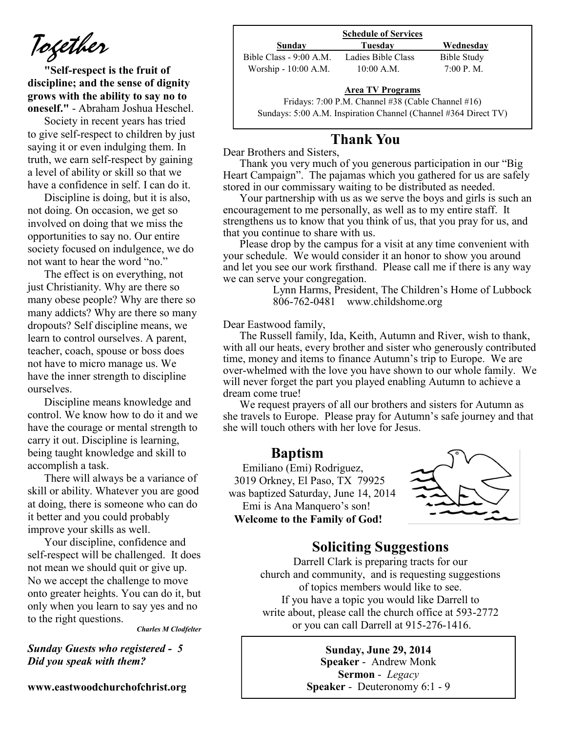*Together*

**"Self-respect is the fruit of discipline; and the sense of dignity grows with the ability to say no to oneself."** - Abraham Joshua Heschel.

Society in recent years has tried to give self-respect to children by just saying it or even indulging them. In truth, we earn self-respect by gaining a level of ability or skill so that we have a confidence in self. I can do it.

Discipline is doing, but it is also, not doing. On occasion, we get so involved on doing that we miss the opportunities to say no. Our entire society focused on indulgence, we do not want to hear the word "no."

The effect is on everything, not just Christianity. Why are there so many obese people? Why are there so many addicts? Why are there so many dropouts? Self discipline means, we learn to control ourselves. A parent, teacher, coach, spouse or boss does not have to micro manage us. We have the inner strength to discipline ourselves.

Discipline means knowledge and control. We know how to do it and we have the courage or mental strength to carry it out. Discipline is learning, being taught knowledge and skill to accomplish a task.

There will always be a variance of skill or ability. Whatever you are good at doing, there is someone who can do it better and you could probably improve your skills as well.

Your discipline, confidence and self-respect will be challenged. It does not mean we should quit or give up. No we accept the challenge to move onto greater heights. You can do it, but only when you learn to say yes and no to the right questions.

*Charles M Clodfelter*

*Sunday Guests who registered - 5 Did you speak with them?*

**www.eastwoodchurchofchrist.org**

|                    | <b>Schedule of Services</b> |  |  |
|--------------------|-----------------------------|--|--|
| Tuesdav            | Wednesday                   |  |  |
| Ladies Bible Class | Bible Study                 |  |  |
| $10:00$ A.M.       | 7:00 P. M.                  |  |  |
|                    |                             |  |  |

#### **Area TV Programs**

Area TV Programs<br>Fridays: 7:00 P.M. Channel #38 (Cable Channel #16) Sundays: 5:00 A.M. Inspiration Channel (Channel #364 Direct TV)

## **Thank You**

Dear Brothers and Sisters,

Thank you very much of you generous participation in our "Big Heart Campaign". The pajamas which you gathered for us are safely stored in our commissary waiting to be distributed as needed.

Your partnership with us as we serve the boys and girls is such an encouragement to me personally, as well as to my entire staff. It strengthens us to know that you think of us, that you pray for us, and that you continue to share with us.

Please drop by the campus for a visit at any time convenient with your schedule. We would consider it an honor to show you around and let you see our work firsthand. Please call me if there is any way we can serve your congregation.

Lynn Harms, President, The Children's Home of Lubbock 806-762-0481 www.childshome.org

#### Dear Eastwood family,

The Russell family, Ida, Keith, Autumn and River, wish to thank, with all our heats, every brother and sister who generously contributed time, money and items to finance Autumn's trip to Europe. We are over-whelmed with the love you have shown to our whole family. We will never forget the part you played enabling Autumn to achieve a dream come true!

We request prayers of all our brothers and sisters for Autumn as she travels to Europe. Please pray for Autumn's safe journey and that she will touch others with her love for Jesus.

#### **Baptism**

 Emiliano (Emi) Rodriguez, 3019 Orkney, El Paso, TX 79925 was baptized Saturday, June 14, 2014 Emi is Ana Manquero's son!  **Welcome to the Family of God!** 



## **Soliciting Suggestions**

Darrell Clark is preparing tracts for our church and community, and is requesting suggestions of topics members would like to see. If you have a topic you would like Darrell to write about, please call the church office at 593-2772 or you can call Darrell at 915-276-1416.

> **Sunday, June 29, 2014 Speaker** - Andrew Monk **Sermon** - *Legacy*  **Speaker** - Deuteronomy 6:1 - 9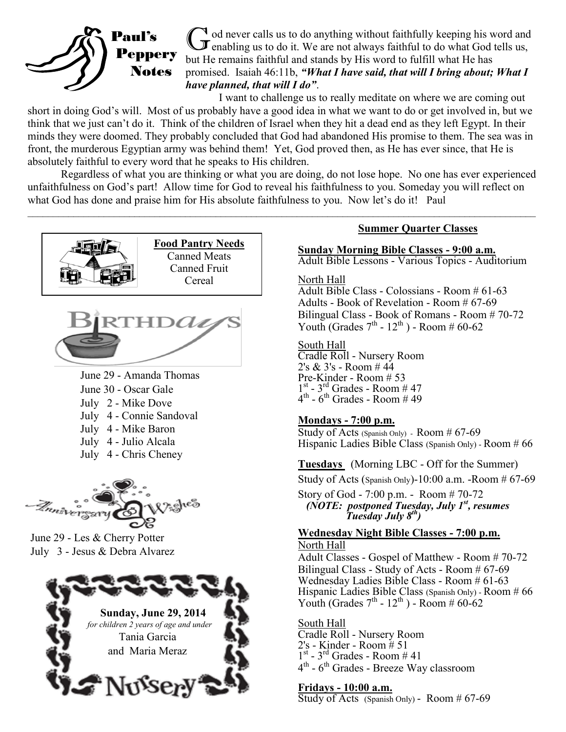

 $\mathbb{I}$  od never calls us to do anything without faithfully keeping his word and  $\mathbf{J}$  enabling us to do it. We are not always faithful to do what God tells us, but He remains faithful and stands by His word to fulfill what He has promised. Isaiah 46:11b, *"What I have said, that will I bring about; What I have planned, that will I do"*.

I want to challenge us to really meditate on where we are coming out short in doing God's will. Most of us probably have a good idea in what we want to do or get involved in, but we think that we just can't do it. Think of the children of Israel when they hit a dead end as they left Egypt. In their minds they were doomed. They probably concluded that God had abandoned His promise to them. The sea was in front, the murderous Egyptian army was behind them! Yet, God proved then, as He has ever since, that He is absolutely faithful to every word that he speaks to His children.

Regardless of what you are thinking or what you are doing, do not lose hope. No one has ever experienced unfaithfulness on God's part! Allow time for God to reveal his faithfulness to you. Someday you will reflect on what God has done and praise him for His absolute faithfulness to you. Now let's do it! Paul

 $\mathcal{L}_\mathcal{L} = \mathcal{L}_\mathcal{L} = \mathcal{L}_\mathcal{L} = \mathcal{L}_\mathcal{L} = \mathcal{L}_\mathcal{L} = \mathcal{L}_\mathcal{L} = \mathcal{L}_\mathcal{L} = \mathcal{L}_\mathcal{L} = \mathcal{L}_\mathcal{L} = \mathcal{L}_\mathcal{L} = \mathcal{L}_\mathcal{L} = \mathcal{L}_\mathcal{L} = \mathcal{L}_\mathcal{L} = \mathcal{L}_\mathcal{L} = \mathcal{L}_\mathcal{L} = \mathcal{L}_\mathcal{L} = \mathcal{L}_\mathcal{L}$ 



June 29 - Amanda Thomas June 30 - Oscar Gale July 2 - Mike Dove July 4 - Connie Sandoval July 4 - Mike Baron July 4 - Julio Alcala July 4 - Chris Cheney



June 29 - Les & Cherry Potter July 3 - Jesus & Debra Alvarez



#### **Summer Quarter Classes**

**Sunday Morning Bible Classes - 9:00 a.m.** Adult Bible Lessons - Various Topics - Auditorium

#### North Hall

Adult Bible Class - Colossians - Room # 61-63 Adults - Book of Revelation - Room # 67-69 Bilingual Class - Book of Romans - Room # 70-72 Youth (Grades  $7<sup>th</sup>$  -  $12<sup>th</sup>$ ) - Room # 60-62

#### South Hall

Cradle Roll - Nursery Room 2's & 3's - Room # 44 Pre-Kinder - Room # 53  $1<sup>st</sup> - 3<sup>rd</sup>$  Grades - Room # 47  $4^{\text{th}}$  - 6<sup>th</sup> Grades - Room # 49

#### **Mondays - 7:00 p.m.**

Study of Acts (Spanish Only) - Room # 67-69 Hispanic Ladies Bible Class (Spanish Only) - Room # 66

**Tuesdays** (Morning LBC - Off for the Summer) Study of Acts (Spanish Only)-10:00 a.m. -Room  $#67-69$ 

Story of God - 7:00 p.m. - Room # 70-72  *(NOTE: postponed Tuesday, July 1st, resumes Tuesday July 8th)*

#### **Wednesday Night Bible Classes - 7:00 p.m.** North Hall

Adult Classes - Gospel of Matthew - Room # 70-72 Bilingual Class - Study of Acts - Room # 67-69 Wednesday Ladies Bible Class - Room # 61-63 Hispanic Ladies Bible Class (Spanish Only) - Room # 66 Youth (Grades  $7<sup>th</sup> - 12<sup>th</sup>$ ) - Room # 60-62

South Hall Cradle Roll - Nursery Room 2's - Kinder - Room # 51  $1<sup>st</sup> - 3<sup>rd</sup>$  Grades - Room # 41 4<sup>th</sup> - 6<sup>th</sup> Grades - Breeze Way classroom

#### **Fridays - 10:00 a.m.**

Study of Acts (Spanish Only) - Room  $#67-69$